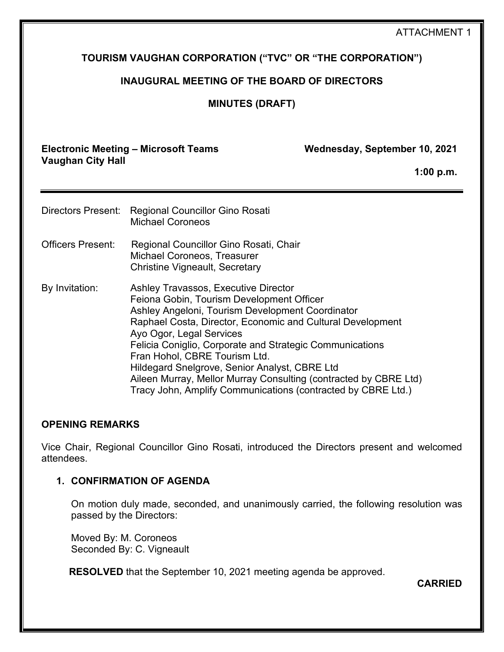## ATTACHMENT 1

## **TOURISM VAUGHAN CORPORATION ("TVC" OR "THE CORPORATION")**

## **INAUGURAL MEETING OF THE BOARD OF DIRECTORS**

## **MINUTES (DRAFT)**

**Electronic Meeting – Microsoft Teams Wednesday, September 10, 2021 Vaughan City Hall**

**1:00 p.m.**

| Directors Present:       | <b>Regional Councillor Gino Rosati</b><br><b>Michael Coroneos</b>                                                                                                                                                                                                                                                                                                                                                                                                                                                 |
|--------------------------|-------------------------------------------------------------------------------------------------------------------------------------------------------------------------------------------------------------------------------------------------------------------------------------------------------------------------------------------------------------------------------------------------------------------------------------------------------------------------------------------------------------------|
| <b>Officers Present:</b> | Regional Councillor Gino Rosati, Chair<br>Michael Coroneos, Treasurer<br><b>Christine Vigneault, Secretary</b>                                                                                                                                                                                                                                                                                                                                                                                                    |
| By Invitation:           | Ashley Travassos, Executive Director<br>Feiona Gobin, Tourism Development Officer<br>Ashley Angeloni, Tourism Development Coordinator<br>Raphael Costa, Director, Economic and Cultural Development<br>Ayo Ogor, Legal Services<br>Felicia Coniglio, Corporate and Strategic Communications<br>Fran Hohol, CBRE Tourism Ltd.<br>Hildegard Snelgrove, Senior Analyst, CBRE Ltd<br>Aileen Murray, Mellor Murray Consulting (contracted by CBRE Ltd)<br>Tracy John, Amplify Communications (contracted by CBRE Ltd.) |

## **OPENING REMARKS**

Vice Chair, Regional Councillor Gino Rosati, introduced the Directors present and welcomed attendees.

## **1. CONFIRMATION OF AGENDA**

On motion duly made, seconded, and unanimously carried, the following resolution was passed by the Directors:

Moved By: M. Coroneos Seconded By: C. Vigneault

**RESOLVED** that the September 10, 2021 meeting agenda be approved.

**CARRIED**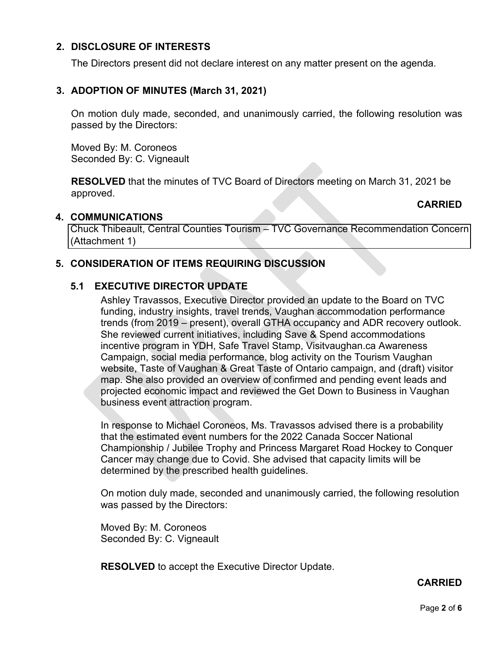## **2. DISCLOSURE OF INTERESTS**

The Directors present did not declare interest on any matter present on the agenda.

#### **3. ADOPTION OF MINUTES (March 31, 2021)**

On motion duly made, seconded, and unanimously carried, the following resolution was passed by the Directors:

Moved By: M. Coroneos Seconded By: C. Vigneault

**RESOLVED** that the minutes of TVC Board of Directors meeting on March 31, 2021 be approved.

#### **4. COMMUNICATIONS**

[Chuck Thibeault, Central Counties Tourism](#page-6-0) – TVC Governance Recommendation Concern (Attachment 1)

#### **5. CONSIDERATION OF ITEMS REQUIRING DISCUSSION**

#### **5.1 EXECUTIVE DIRECTOR UPDATE**

Ashley Travassos, Executive Director provided an update to the Board on TVC funding, industry insights, travel trends, Vaughan accommodation performance trends (from 2019 – present), overall GTHA occupancy and ADR recovery outlook. She reviewed current initiatives, including Save & Spend accommodations incentive program in YDH, Safe Travel Stamp, Visitvaughan.ca Awareness Campaign, social media performance, blog activity on the Tourism Vaughan website, Taste of Vaughan & Great Taste of Ontario campaign, and (draft) visitor map. She also provided an overview of confirmed and pending event leads and projected economic impact and reviewed the Get Down to Business in Vaughan business event attraction program.

In response to Michael Coroneos, Ms. Travassos advised there is a probability that the estimated event numbers for the 2022 Canada Soccer National Championship / Jubilee Trophy and Princess Margaret Road Hockey to Conquer Cancer may change due to Covid. She advised that capacity limits will be determined by the prescribed health guidelines.

On motion duly made, seconded and unanimously carried, the following resolution was passed by the Directors:

Moved By: M. Coroneos Seconded By: C. Vigneault

**RESOLVED** to accept the Executive Director Update.

## **CARRIED**

**CARRIED**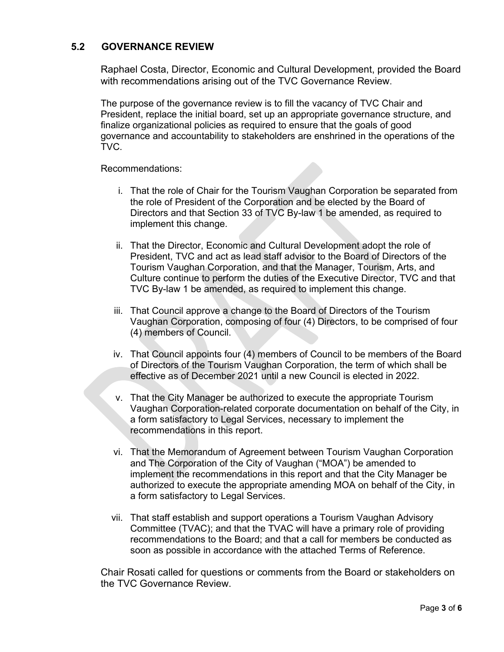## **5.2 GOVERNANCE REVIEW**

Raphael Costa, Director, Economic and Cultural Development, provided the Board with recommendations arising out of the TVC Governance Review.

The purpose of the governance review is to fill the vacancy of TVC Chair and President, replace the initial board, set up an appropriate governance structure, and finalize organizational policies as required to ensure that the goals of good governance and accountability to stakeholders are enshrined in the operations of the TVC.

Recommendations:

- i. That the role of Chair for the Tourism Vaughan Corporation be separated from the role of President of the Corporation and be elected by the Board of Directors and that Section 33 of TVC By-law 1 be amended, as required to implement this change.
- ii. That the Director, Economic and Cultural Development adopt the role of President, TVC and act as lead staff advisor to the Board of Directors of the Tourism Vaughan Corporation, and that the Manager, Tourism, Arts, and Culture continue to perform the duties of the Executive Director, TVC and that TVC By-law 1 be amended, as required to implement this change.
- iii. That Council approve a change to the Board of Directors of the Tourism Vaughan Corporation, composing of four (4) Directors, to be comprised of four (4) members of Council.
- iv. That Council appoints four (4) members of Council to be members of the Board of Directors of the Tourism Vaughan Corporation, the term of which shall be effective as of December 2021 until a new Council is elected in 2022.
- v. That the City Manager be authorized to execute the appropriate Tourism Vaughan Corporation-related corporate documentation on behalf of the City, in a form satisfactory to Legal Services, necessary to implement the recommendations in this report.
- vi. That the Memorandum of Agreement between Tourism Vaughan Corporation and The Corporation of the City of Vaughan ("MOA") be amended to implement the recommendations in this report and that the City Manager be authorized to execute the appropriate amending MOA on behalf of the City, in a form satisfactory to Legal Services.
- vii. That staff establish and support operations a Tourism Vaughan Advisory Committee (TVAC); and that the TVAC will have a primary role of providing recommendations to the Board; and that a call for members be conducted as soon as possible in accordance with the attached Terms of Reference.

Chair Rosati called for questions or comments from the Board or stakeholders on the TVC Governance Review.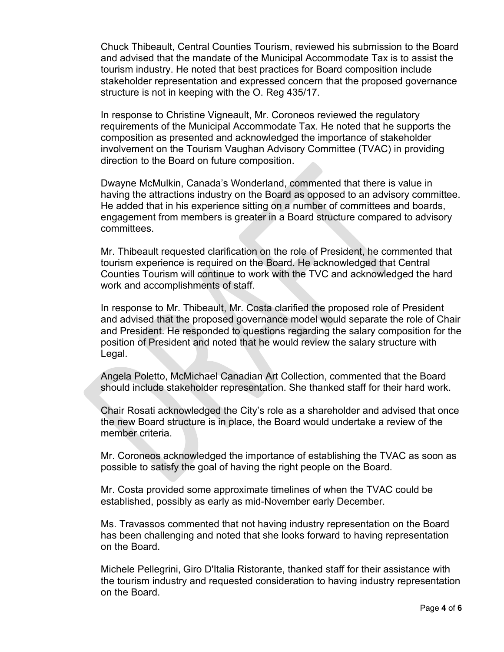Chuck Thibeault, Central Counties Tourism, reviewed his submission to the Board and advised that the mandate of the Municipal Accommodate Tax is to assist the tourism industry. He noted that best practices for Board composition include stakeholder representation and expressed concern that the proposed governance structure is not in keeping with the O. Reg 435/17.

In response to Christine Vigneault, Mr. Coroneos reviewed the regulatory requirements of the Municipal Accommodate Tax. He noted that he supports the composition as presented and acknowledged the importance of stakeholder involvement on the Tourism Vaughan Advisory Committee (TVAC) in providing direction to the Board on future composition.

Dwayne McMulkin, Canada's Wonderland, commented that there is value in having the attractions industry on the Board as opposed to an advisory committee. He added that in his experience sitting on a number of committees and boards, engagement from members is greater in a Board structure compared to advisory committees.

Mr. Thibeault requested clarification on the role of President, he commented that tourism experience is required on the Board. He acknowledged that Central Counties Tourism will continue to work with the TVC and acknowledged the hard work and accomplishments of staff.

In response to Mr. Thibeault, Mr. Costa clarified the proposed role of President and advised that the proposed governance model would separate the role of Chair and President. He responded to questions regarding the salary composition for the position of President and noted that he would review the salary structure with Legal.

Angela Poletto, McMichael Canadian Art Collection, commented that the Board should include stakeholder representation. She thanked staff for their hard work.

Chair Rosati acknowledged the City's role as a shareholder and advised that once the new Board structure is in place, the Board would undertake a review of the member criteria.

Mr. Coroneos acknowledged the importance of establishing the TVAC as soon as possible to satisfy the goal of having the right people on the Board.

Mr. Costa provided some approximate timelines of when the TVAC could be established, possibly as early as mid-November early December.

Ms. Travassos commented that not having industry representation on the Board has been challenging and noted that she looks forward to having representation on the Board.

Michele Pellegrini, Giro D'Italia Ristorante, thanked staff for their assistance with the tourism industry and requested consideration to having industry representation on the Board.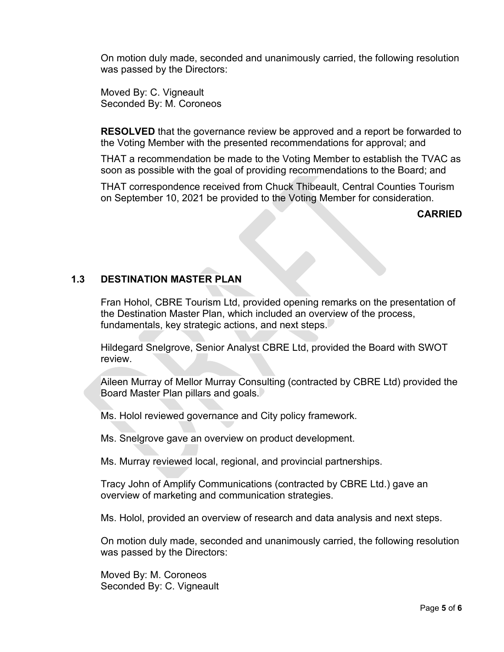On motion duly made, seconded and unanimously carried, the following resolution was passed by the Directors:

Moved By: C. Vigneault Seconded By: M. Coroneos

**RESOLVED** that the governance review be approved and a report be forwarded to the Voting Member with the presented recommendations for approval; and

THAT a recommendation be made to the Voting Member to establish the TVAC as soon as possible with the goal of providing recommendations to the Board; and

THAT correspondence received from Chuck Thibeault, Central Counties Tourism on September 10, 2021 be provided to the Voting Member for consideration.

**CARRIED**

## **1.3 DESTINATION MASTER PLAN**

Fran Hohol, CBRE Tourism Ltd, provided opening remarks on the presentation of the Destination Master Plan, which included an overview of the process, fundamentals, key strategic actions, and next steps.

Hildegard Snelgrove, Senior Analyst CBRE Ltd, provided the Board with SWOT review.

Aileen Murray of Mellor Murray Consulting (contracted by CBRE Ltd) provided the Board Master Plan pillars and goals.

Ms. Holol reviewed governance and City policy framework.

Ms. Snelgrove gave an overview on product development.

Ms. Murray reviewed local, regional, and provincial partnerships.

Tracy John of Amplify Communications (contracted by CBRE Ltd.) gave an overview of marketing and communication strategies.

Ms. Holol, provided an overview of research and data analysis and next steps.

On motion duly made, seconded and unanimously carried, the following resolution was passed by the Directors:

Moved By: M. Coroneos Seconded By: C. Vigneault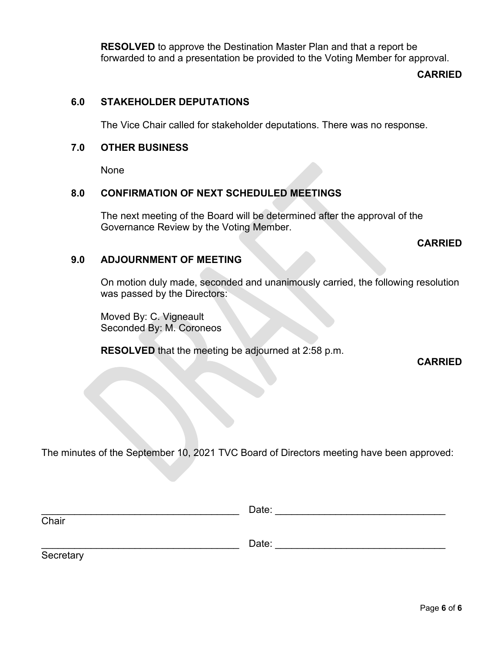**RESOLVED** to approve the Destination Master Plan and that a report be forwarded to and a presentation be provided to the Voting Member for approval.

#### **CARRIED**

## **6.0 STAKEHOLDER DEPUTATIONS**

The Vice Chair called for stakeholder deputations. There was no response.

#### **7.0 OTHER BUSINESS**

None

**Secretary** 

#### **8.0 CONFIRMATION OF NEXT SCHEDULED MEETINGS**

The next meeting of the Board will be determined after the approval of the Governance Review by the Voting Member.

**CARRIED**

#### **9.0 ADJOURNMENT OF MEETING**

On motion duly made, seconded and unanimously carried, the following resolution was passed by the Directors:

Moved By: C. Vigneault Seconded By: M. Coroneos

**RESOLVED** that the meeting be adjourned at 2:58 p.m.

**CARRIED** 

The minutes of the September 10, 2021 TVC Board of Directors meeting have been approved:

|       | Date: |
|-------|-------|
| Chair |       |
|       |       |
|       | Date: |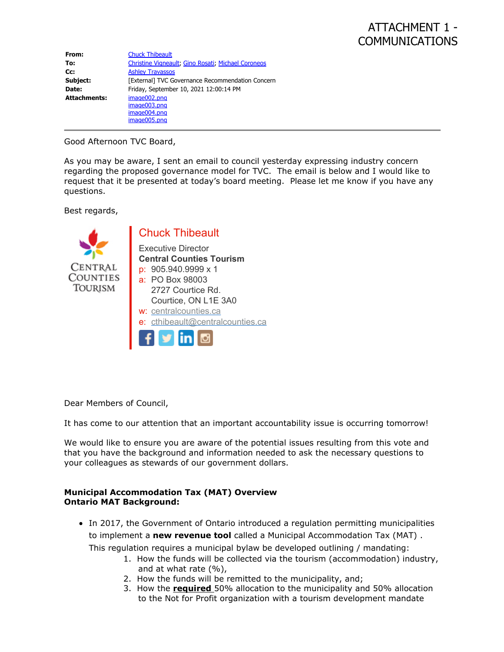# ATTACHMENT 1 - COMMUNICATIONS

<span id="page-6-0"></span>

| From:               | <b>Chuck Thibeault</b>                             |  |
|---------------------|----------------------------------------------------|--|
| To:                 | Christine Vigneault, Gino Rosati, Michael Coroneos |  |
| Cc:                 | <b>Ashley Travassos</b>                            |  |
| Subject:            | [External] TVC Governance Recommendation Concern   |  |
| Date:               | Friday, September 10, 2021 12:00:14 PM             |  |
| <b>Attachments:</b> | image002.png                                       |  |
|                     | image003.png                                       |  |
|                     | image004.png                                       |  |
|                     | image005.png                                       |  |

Good Afternoon TVC Board,

As you may be aware, I sent an email to council yesterday expressing industry concern regarding the proposed governance model for TVC. The email is below and I would like to request that it be presented at today's board meeting. Please let me know if you have any questions.

Best regards,



Chuck Thibeault

Executive Director **Central Counties Tourism** p: 905.940.9999 x 1

- a: PO Box 98003 2727 Courtice Rd. Courtice, ON L1E 3A0 w: [centralcounties.ca](http://centralcounties.ca/)
- e: [cthibeault@centralcounties.ca](mailto:cthibeault@centralcounties.ca)



Dear Members of Council,

It has come to our attention that an important accountability issue is occurring tomorrow!

We would like to ensure you are aware of the potential issues resulting from this vote and that you have the background and information needed to ask the necessary questions to your colleagues as stewards of our government dollars.

#### **Municipal Accommodation Tax (MAT) Overview Ontario MAT Background:**

- In 2017, the Government of Ontario introduced a regulation permitting municipalities to implement a **new revenue tool** called a Municipal Accommodation Tax (MAT) . This regulation requires a municipal bylaw be developed outlining / mandating:
	- 1. How the funds will be collected via the tourism (accommodation) industry, and at what rate (%),
	- 2. How the funds will be remitted to the municipality, and;
	- 3. How the **required** 50% allocation to the municipality and 50% allocation to the Not for Profit organization with a tourism development mandate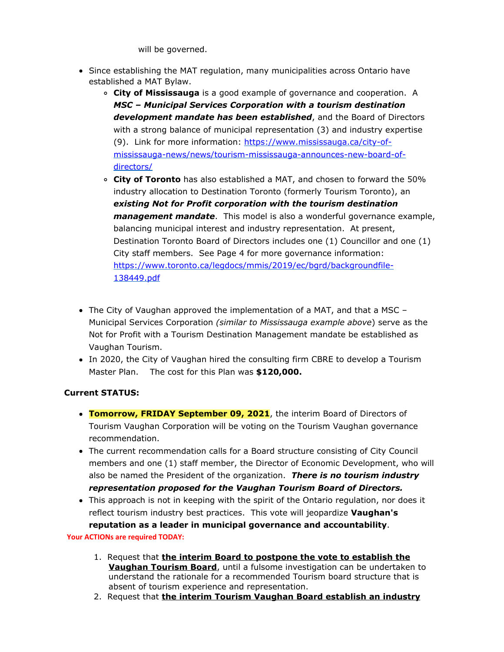will be governed.

- Since establishing the MAT regulation, many municipalities across Ontario have established a MAT Bylaw.
	- **City of Mississauga** is a good example of governance and cooperation. A *MSC – Municipal Services Corporation with a tourism destination development mandate has been established*, and the Board of Directors with a strong balance of municipal representation (3) and industry expertise (9). Link for more information: [https://www.mississauga.ca/city-of](https://www.mississauga.ca/city-of-mississauga-news/news/tourism-mississauga-announces-new-board-of-directors/)[mississauga-news/news/tourism-mississauga-announces-new-board-of](https://www.mississauga.ca/city-of-mississauga-news/news/tourism-mississauga-announces-new-board-of-directors/)[directors/](https://www.mississauga.ca/city-of-mississauga-news/news/tourism-mississauga-announces-new-board-of-directors/)
	- **City of Toronto** has also established a MAT, and chosen to forward the 50% industry allocation to Destination Toronto (formerly Tourism Toronto), an *existing Not for Profit corporation with the tourism destination management mandate*. This model is also a wonderful governance example, balancing municipal interest and industry representation. At present, Destination Toronto Board of Directors includes one (1) Councillor and one (1) City staff members. See Page 4 for more governance information: [https://www.toronto.ca/legdocs/mmis/2019/ec/bgrd/backgroundfile-](https://www.toronto.ca/legdocs/mmis/2019/ec/bgrd/backgroundfile-138449.pdf)[138449.pdf](https://www.toronto.ca/legdocs/mmis/2019/ec/bgrd/backgroundfile-138449.pdf)
- The City of Vaughan approved the implementation of a MAT, and that a MSC Municipal Services Corporation *(similar to Mississauga example above*) serve as the Not for Profit with a Tourism Destination Management mandate be established as Vaughan Tourism.
- In 2020, the City of Vaughan hired the consulting firm CBRE to develop a Tourism Master Plan. The cost for this Plan was **\$120,000.**

## **Current STATUS:**

- **Tomorrow, FRIDAY September 09, 2021**, the interim Board of Directors of Tourism Vaughan Corporation will be voting on the Tourism Vaughan governance recommendation.
- The current recommendation calls for a Board structure consisting of City Council members and one (1) staff member, the Director of Economic Development, who will also be named the President of the organization. *There is no tourism industry representation proposed for the Vaughan Tourism Board of Directors.*
- This approach is not in keeping with the spirit of the Ontario regulation, nor does it reflect tourism industry best practices. This vote will jeopardize **Vaughan's reputation as a leader in municipal governance and accountability**. **Your ACTIONs are required TODAY:**
	- 1. Request that **the interim Board to postpone the vote to establish the Vaughan Tourism Board**, until a fulsome investigation can be undertaken to understand the rationale for a recommended Tourism board structure that is absent of tourism experience and representation.
	- 2. Request that **the interim Tourism Vaughan Board establish an industry**